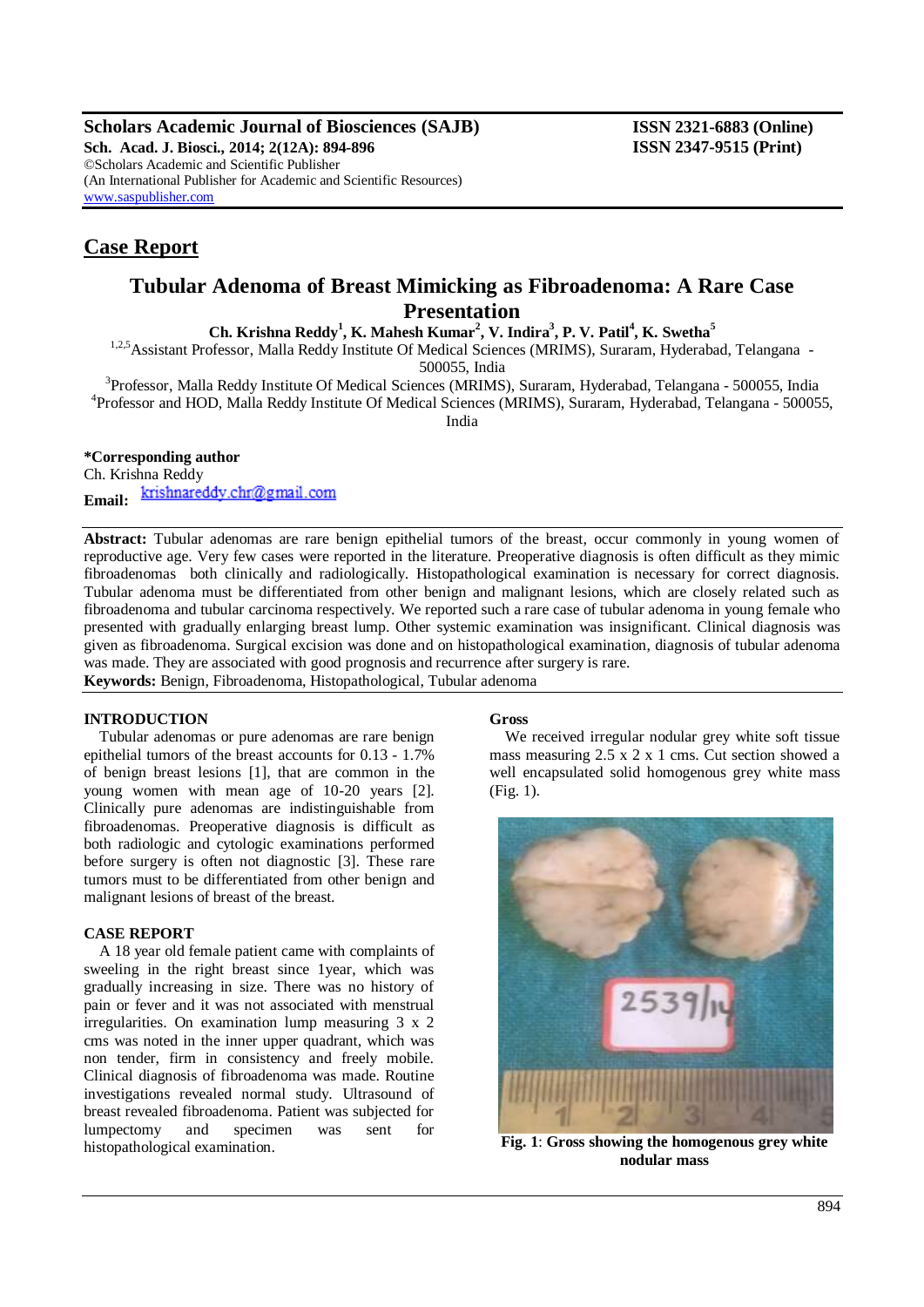**Scholars Academic Journal of Biosciences (SAJB) ISSN 2321-6883 (Online)**

**Sch. Acad. J. Biosci., 2014; 2(12A): 894-896 ISSN 2347-9515 (Print)** ©Scholars Academic and Scientific Publisher (An International Publisher for Academic and Scientific Resources) [www.saspublisher.com](http://www.saspublisher.com/)

# **Case Report**

# **Tubular Adenoma of Breast Mimicking as Fibroadenoma: A Rare Case Presentation**

**Ch. Krishna Reddy<sup>1</sup> , K. Mahesh Kumar<sup>2</sup> , V. Indira<sup>3</sup> , P. V. Patil<sup>4</sup> , K. Swetha<sup>5</sup>**

<sup>1,2,5</sup> Assistant Professor, Malla Reddy Institute Of Medical Sciences (MRIMS), Suraram, Hyderabad, Telangana -500055, India

<sup>3</sup>Professor, Malla Reddy Institute Of Medical Sciences (MRIMS), Suraram, Hyderabad, Telangana - 500055, India 4 Professor and HOD, Malla Reddy Institute Of Medical Sciences (MRIMS), Suraram, Hyderabad, Telangana - 500055, India

## **\*Corresponding author**

Ch. Krishna Reddy krishnareddy.chr@gmail.com **Email:**

**Abstract:** Tubular adenomas are rare benign epithelial tumors of the breast, occur commonly in young women of reproductive age. Very few cases were reported in the literature. Preoperative diagnosis is often difficult as they mimic fibroadenomas both clinically and radiologically. Histopathological examination is necessary for correct diagnosis. Tubular adenoma must be differentiated from other benign and malignant lesions, which are closely related such as fibroadenoma and tubular carcinoma respectively. We reported such a rare case of tubular adenoma in young female who presented with gradually enlarging breast lump. Other systemic examination was insignificant. Clinical diagnosis was given as fibroadenoma. Surgical excision was done and on histopathological examination, diagnosis of tubular adenoma was made. They are associated with good prognosis and recurrence after surgery is rare.

**Keywords:** Benign, Fibroadenoma, Histopathological, Tubular adenoma

#### **INTRODUCTION**

Tubular adenomas or pure adenomas are rare benign epithelial tumors of the breast accounts for 0.13 - 1.7% of benign breast lesions [1], that are common in the young women with mean age of 10-20 years [2]. Clinically pure adenomas are indistinguishable from fibroadenomas. Preoperative diagnosis is difficult as both radiologic and cytologic examinations performed before surgery is often not diagnostic [3]. These rare tumors must to be differentiated from other benign and malignant lesions of breast of the breast.

#### **CASE REPORT**

A 18 year old female patient came with complaints of sweeling in the right breast since 1year, which was gradually increasing in size. There was no history of pain or fever and it was not associated with menstrual irregularities. On examination lump measuring 3 x 2 cms was noted in the inner upper quadrant, which was non tender, firm in consistency and freely mobile. Clinical diagnosis of fibroadenoma was made. Routine investigations revealed normal study. Ultrasound of breast revealed fibroadenoma. Patient was subjected for lumpectomy and specimen was sent for histopathological examination.

#### **Gross**

We received irregular nodular grey white soft tissue mass measuring 2.5 x 2 x 1 cms. Cut section showed a well encapsulated solid homogenous grey white mass (Fig. 1).



**Fig. 1**: **Gross showing the homogenous grey white nodular mass**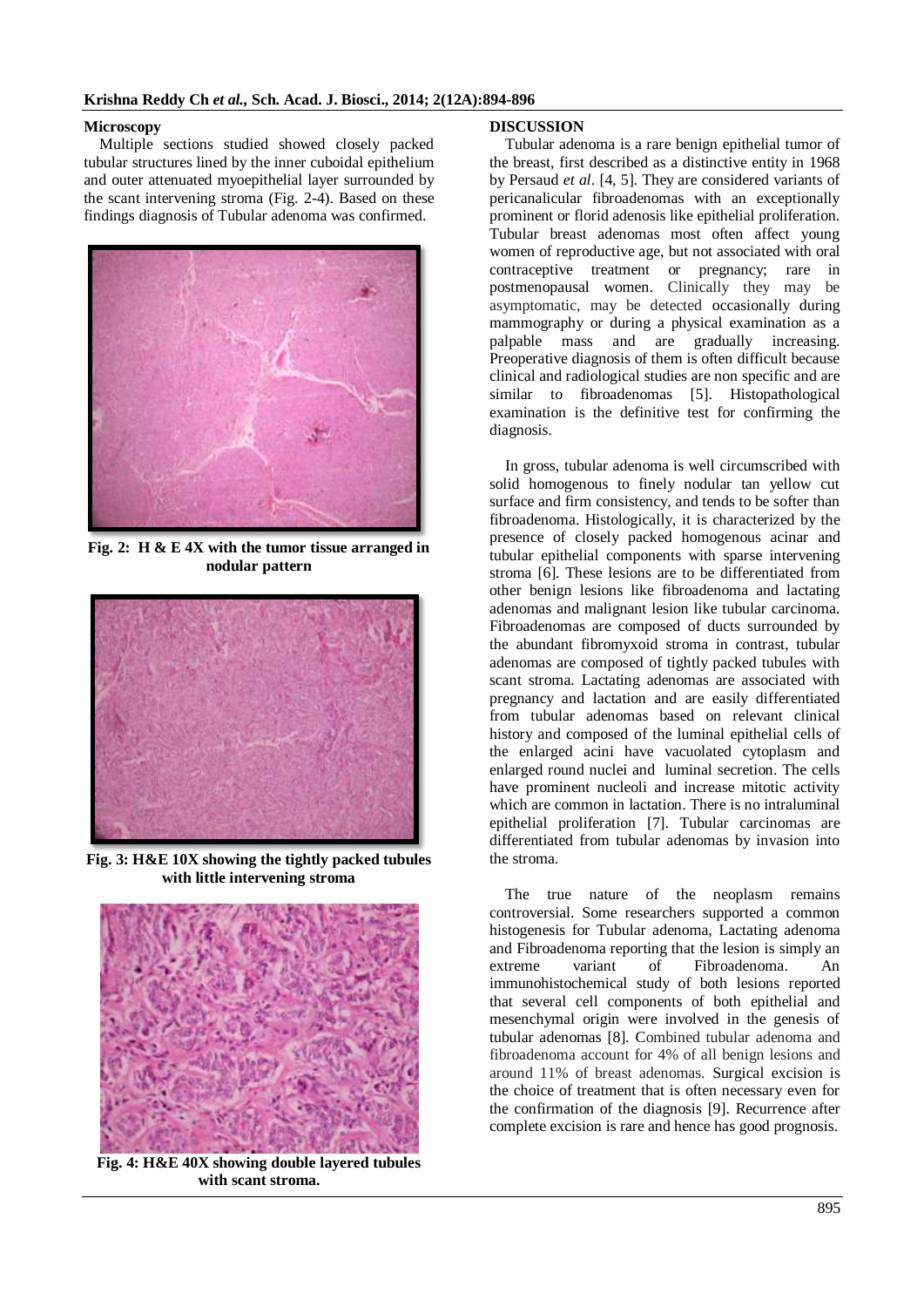### **Microscopy**

Multiple sections studied showed closely packed tubular structures lined by the inner cuboidal epithelium and outer attenuated myoepithelial layer surrounded by the scant intervening stroma (Fig. 2-4). Based on these findings diagnosis of Tubular adenoma was confirmed.



**Fig. 2: H & E 4X with the tumor tissue arranged in nodular pattern**



**Fig. 3: H&E 10X showing the tightly packed tubules with little intervening stroma**



**Fig. 4: H&E 40X showing double layered tubules with scant stroma.**

### **DISCUSSION**

Tubular adenoma is a rare benign epithelial tumor of the breast, first described as a distinctive entity in 1968 by Persaud *et al*. [4, 5]. They are considered variants of pericanalicular fibroadenomas with an exceptionally prominent or florid adenosis like epithelial proliferation. Tubular breast adenomas most often affect young women of reproductive age, but not associated with oral contraceptive treatment or pregnancy; rare in postmenopausal women. Clinically they may be asymptomatic, may be detected occasionally during mammography or during a physical examination as a palpable mass and are gradually increasing. Preoperative diagnosis of them is often difficult because clinical and radiological studies are non specific and are similar to fibroadenomas [5]. Histopathological examination is the definitive test for confirming the diagnosis.

In gross, tubular adenoma is well circumscribed with solid homogenous to finely nodular tan yellow cut surface and firm consistency, and tends to be softer than fibroadenoma. Histologically, it is characterized by the presence of closely packed homogenous acinar and tubular epithelial components with sparse intervening stroma [6]. These lesions are to be differentiated from other benign lesions like fibroadenoma and lactating adenomas and malignant lesion like tubular carcinoma. Fibroadenomas are composed of ducts surrounded by the abundant fibromyxoid stroma in contrast, tubular adenomas are composed of tightly packed tubules with scant stroma. Lactating adenomas are associated with pregnancy and lactation and are easily differentiated from tubular adenomas based on relevant clinical history and composed of the luminal epithelial cells of the enlarged acini have vacuolated cytoplasm and enlarged round nuclei and luminal secretion. The cells have prominent nucleoli and increase mitotic activity which are common in lactation. There is no intraluminal epithelial proliferation [7]. Tubular carcinomas are differentiated from tubular adenomas by invasion into the stroma.

The true nature of the neoplasm remains controversial. Some researchers supported a common histogenesis for Tubular adenoma, Lactating adenoma and Fibroadenoma reporting that the lesion is simply an extreme variant of Fibroadenoma. An immunohistochemical study of both lesions reported that several cell components of both epithelial and mesenchymal origin were involved in the genesis of tubular adenomas [8]. Combined tubular adenoma and fibroadenoma account for 4% of all benign lesions and around 11% of breast adenomas. Surgical excision is the choice of treatment that is often necessary even for the confirmation of the diagnosis [9]. Recurrence after complete excision is rare and hence has good prognosis.